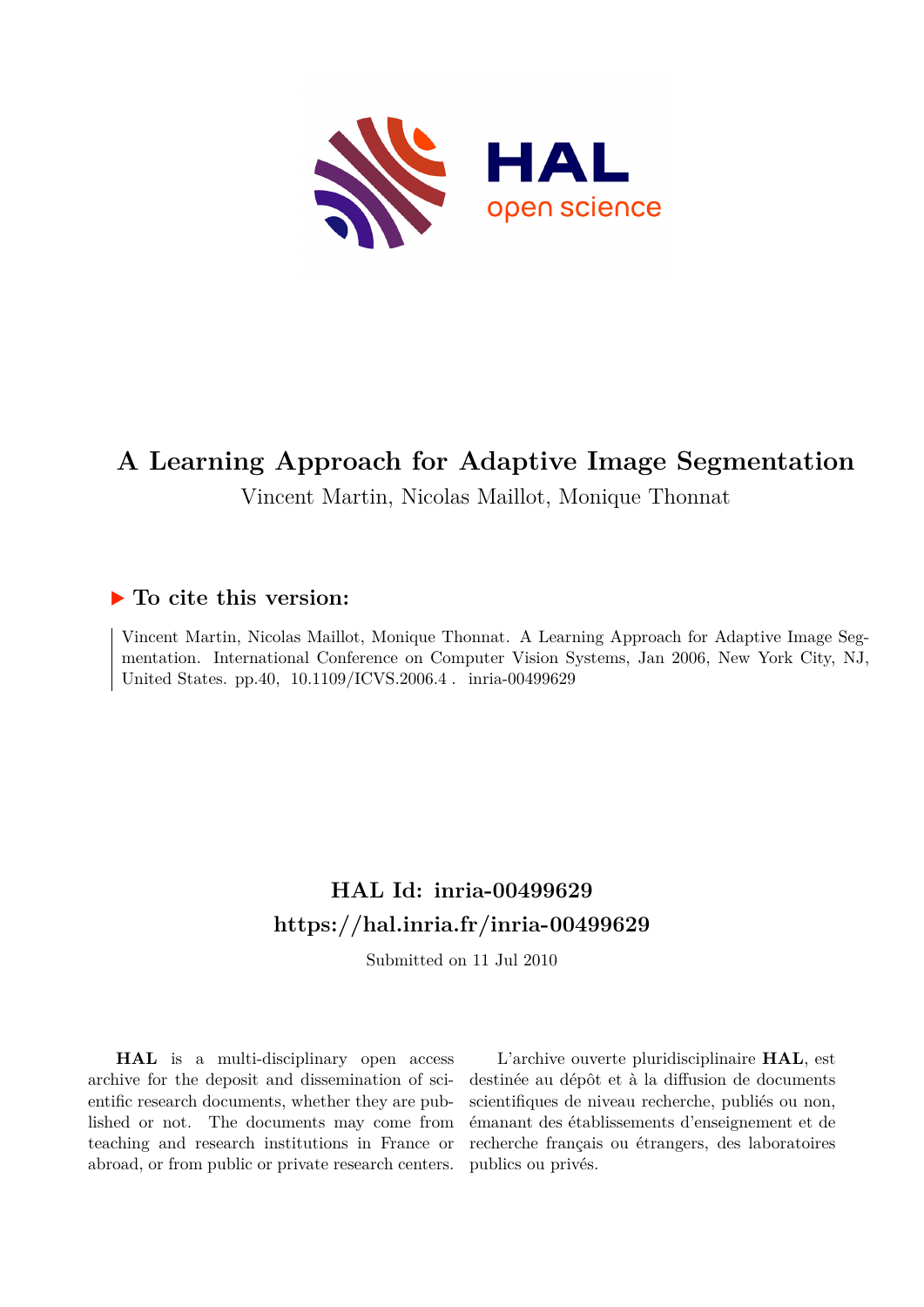

# **A Learning Approach for Adaptive Image Segmentation**

Vincent Martin, Nicolas Maillot, Monique Thonnat

# **To cite this version:**

Vincent Martin, Nicolas Maillot, Monique Thonnat. A Learning Approach for Adaptive Image Segmentation. International Conference on Computer Vision Systems, Jan 2006, New York City, NJ, United States. pp.40,  $10.1109/ICVS.2006.4$ . inria-00499629

# **HAL Id: inria-00499629 <https://hal.inria.fr/inria-00499629>**

Submitted on 11 Jul 2010

**HAL** is a multi-disciplinary open access archive for the deposit and dissemination of scientific research documents, whether they are published or not. The documents may come from teaching and research institutions in France or abroad, or from public or private research centers.

L'archive ouverte pluridisciplinaire **HAL**, est destinée au dépôt et à la diffusion de documents scientifiques de niveau recherche, publiés ou non, émanant des établissements d'enseignement et de recherche français ou étrangers, des laboratoires publics ou privés.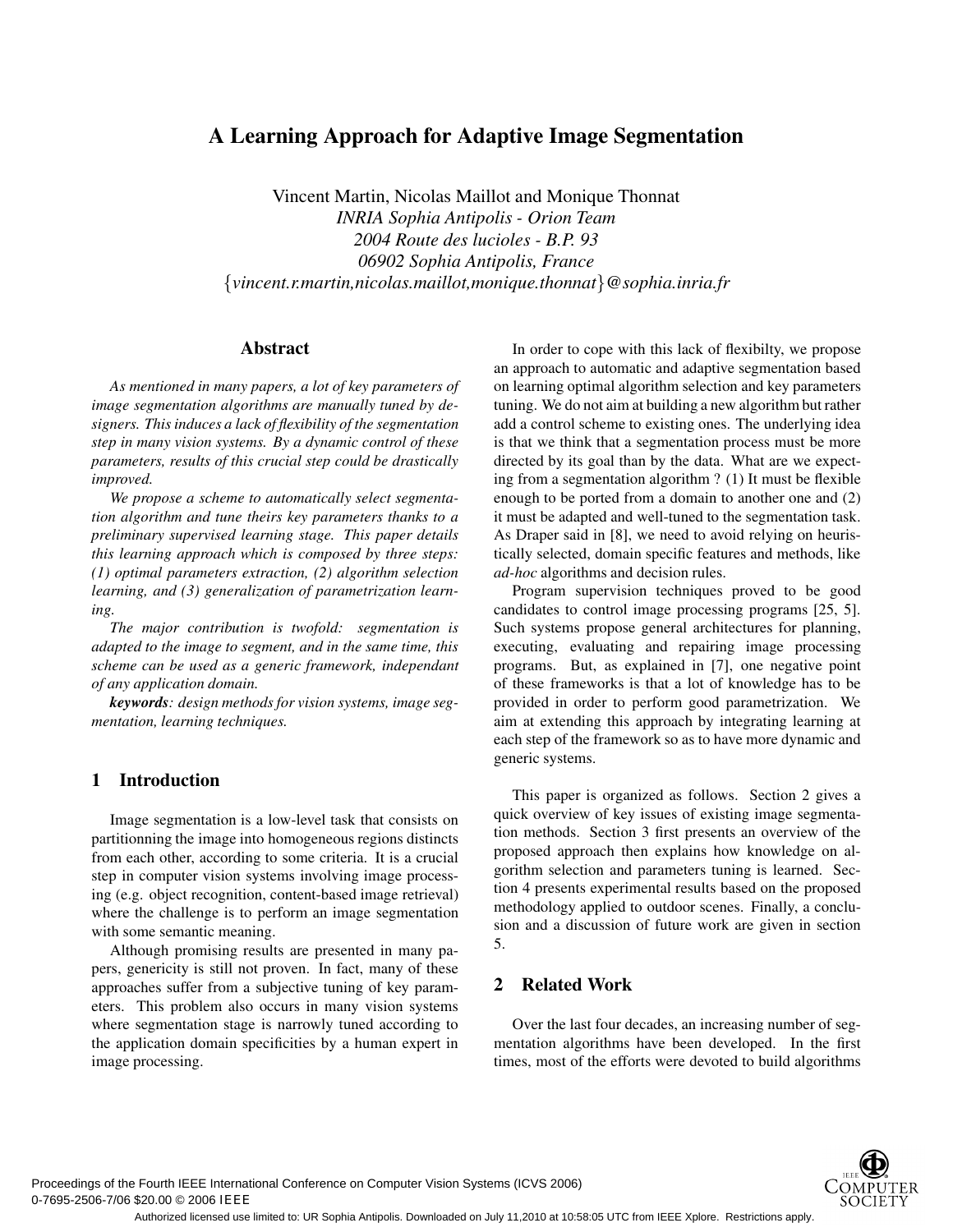# **A Learning Approach for Adaptive Image Segmentation**

Vincent Martin, Nicolas Maillot and Monique Thonnat *INRIA Sophia Antipolis - Orion Team 2004 Route des lucioles - B.P. 93 06902 Sophia Antipolis, France* {*vincent.r.martin,nicolas.maillot,monique.thonnat*}*@sophia.inria.fr*

### **Abstract**

*As mentioned in many papers, a lot of key parameters of image segmentation algorithms are manually tuned by designers. This induces a lack of flexibility of the segmentation step in many vision systems. By a dynamic control of these parameters, results of this crucial step could be drastically improved.*

*We propose a scheme to automatically select segmentation algorithm and tune theirs key parameters thanks to a preliminary supervised learning stage. This paper details this learning approach which is composed by three steps: (1) optimal parameters extraction, (2) algorithm selection learning, and (3) generalization of parametrization learning.*

*The major contribution is twofold: segmentation is adapted to the image to segment, and in the same time, this scheme can be used as a generic framework, independant of any application domain.*

*keywords: design methods for vision systems, image segmentation, learning techniques.*

# **1 Introduction**

Image segmentation is a low-level task that consists on partitionning the image into homogeneous regions distincts from each other, according to some criteria. It is a crucial step in computer vision systems involving image processing (e.g. object recognition, content-based image retrieval) where the challenge is to perform an image segmentation with some semantic meaning.

Although promising results are presented in many papers, genericity is still not proven. In fact, many of these approaches suffer from a subjective tuning of key parameters. This problem also occurs in many vision systems where segmentation stage is narrowly tuned according to the application domain specificities by a human expert in image processing.

In order to cope with this lack of flexibilty, we propose an approach to automatic and adaptive segmentation based on learning optimal algorithm selection and key parameters tuning. We do not aim at building a new algorithm but rather add a control scheme to existing ones. The underlying idea is that we think that a segmentation process must be more directed by its goal than by the data. What are we expecting from a segmentation algorithm ? (1) It must be flexible enough to be ported from a domain to another one and (2) it must be adapted and well-tuned to the segmentation task. As Draper said in [8], we need to avoid relying on heuristically selected, domain specific features and methods, like *ad-hoc* algorithms and decision rules.

Program supervision techniques proved to be good candidates to control image processing programs [25, 5]. Such systems propose general architectures for planning, executing, evaluating and repairing image processing programs. But, as explained in [7], one negative point of these frameworks is that a lot of knowledge has to be provided in order to perform good parametrization. We aim at extending this approach by integrating learning at each step of the framework so as to have more dynamic and generic systems.

This paper is organized as follows. Section 2 gives a quick overview of key issues of existing image segmentation methods. Section 3 first presents an overview of the proposed approach then explains how knowledge on algorithm selection and parameters tuning is learned. Section 4 presents experimental results based on the proposed methodology applied to outdoor scenes. Finally, a conclusion and a discussion of future work are given in section 5.

# **2 Related Work**

Over the last four decades, an increasing number of segmentation algorithms have been developed. In the first times, most of the efforts were devoted to build algorithms

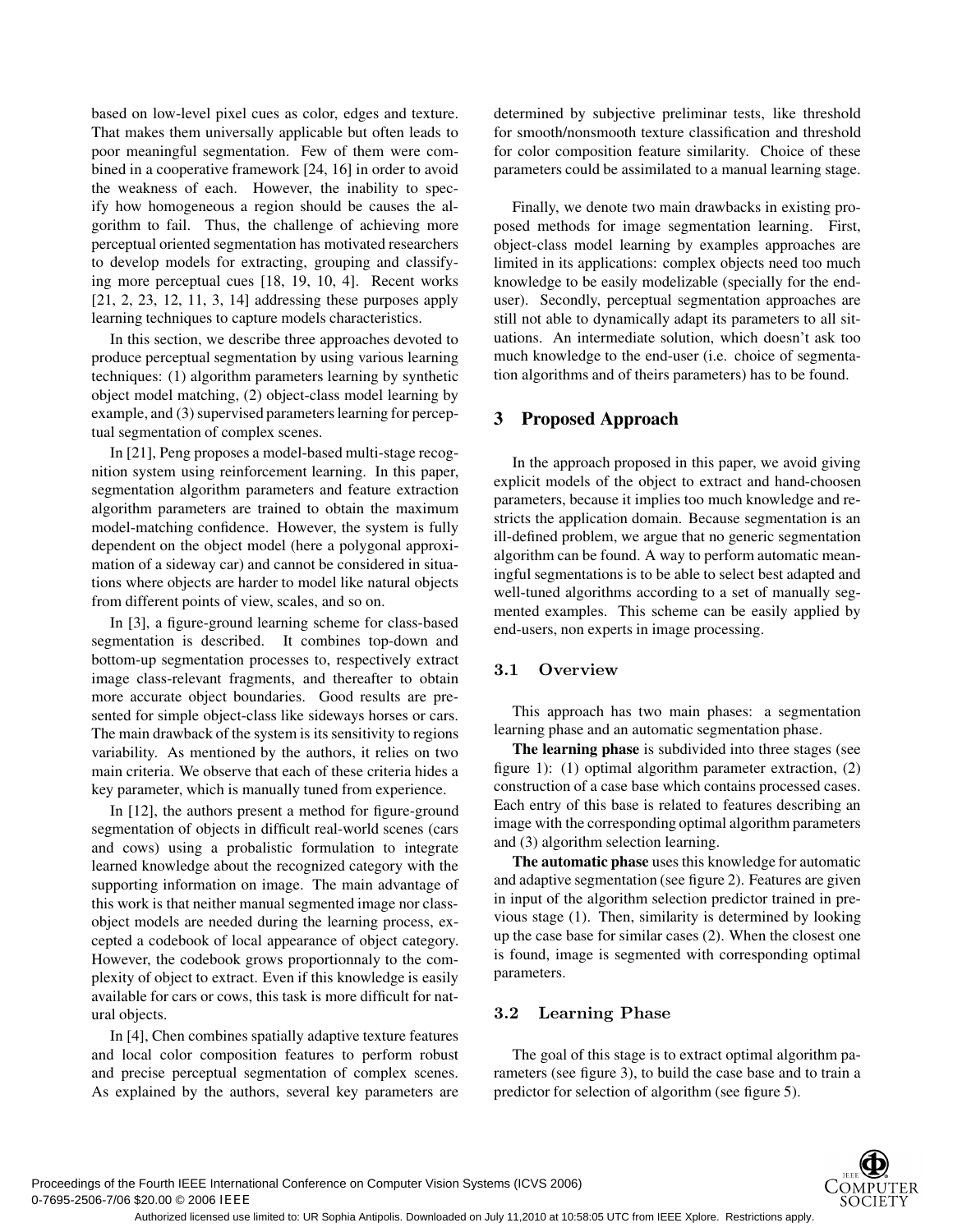based on low-level pixel cues as color, edges and texture. That makes them universally applicable but often leads to poor meaningful segmentation. Few of them were combined in a cooperative framework [24, 16] in order to avoid the weakness of each. However, the inability to specify how homogeneous a region should be causes the algorithm to fail. Thus, the challenge of achieving more perceptual oriented segmentation has motivated researchers to develop models for extracting, grouping and classifying more perceptual cues [18, 19, 10, 4]. Recent works [21, 2, 23, 12, 11, 3, 14] addressing these purposes apply learning techniques to capture models characteristics.

In this section, we describe three approaches devoted to produce perceptual segmentation by using various learning techniques: (1) algorithm parameters learning by synthetic object model matching, (2) object-class model learning by example, and (3) supervised parameters learning for perceptual segmentation of complex scenes.

In [21], Peng proposes a model-based multi-stage recognition system using reinforcement learning. In this paper, segmentation algorithm parameters and feature extraction algorithm parameters are trained to obtain the maximum model-matching confidence. However, the system is fully dependent on the object model (here a polygonal approximation of a sideway car) and cannot be considered in situations where objects are harder to model like natural objects from different points of view, scales, and so on.

In [3], a figure-ground learning scheme for class-based segmentation is described. It combines top-down and bottom-up segmentation processes to, respectively extract image class-relevant fragments, and thereafter to obtain more accurate object boundaries. Good results are presented for simple object-class like sideways horses or cars. The main drawback of the system is its sensitivity to regions variability. As mentioned by the authors, it relies on two main criteria. We observe that each of these criteria hides a key parameter, which is manually tuned from experience.

In [12], the authors present a method for figure-ground segmentation of objects in difficult real-world scenes (cars and cows) using a probalistic formulation to integrate learned knowledge about the recognized category with the supporting information on image. The main advantage of this work is that neither manual segmented image nor classobject models are needed during the learning process, excepted a codebook of local appearance of object category. However, the codebook grows proportionnaly to the complexity of object to extract. Even if this knowledge is easily available for cars or cows, this task is more difficult for natural objects.

In [4], Chen combines spatially adaptive texture features and local color composition features to perform robust and precise perceptual segmentation of complex scenes. As explained by the authors, several key parameters are determined by subjective preliminar tests, like threshold for smooth/nonsmooth texture classification and threshold for color composition feature similarity. Choice of these parameters could be assimilated to a manual learning stage.

Finally, we denote two main drawbacks in existing proposed methods for image segmentation learning. First, object-class model learning by examples approaches are limited in its applications: complex objects need too much knowledge to be easily modelizable (specially for the enduser). Secondly, perceptual segmentation approaches are still not able to dynamically adapt its parameters to all situations. An intermediate solution, which doesn't ask too much knowledge to the end-user (i.e. choice of segmentation algorithms and of theirs parameters) has to be found.

# **3 Proposed Approach**

In the approach proposed in this paper, we avoid giving explicit models of the object to extract and hand-choosen parameters, because it implies too much knowledge and restricts the application domain. Because segmentation is an ill-defined problem, we argue that no generic segmentation algorithm can be found. A way to perform automatic meaningful segmentations is to be able to select best adapted and well-tuned algorithms according to a set of manually segmented examples. This scheme can be easily applied by end-users, non experts in image processing.

#### $3.1$ Overview

This approach has two main phases: a segmentation learning phase and an automatic segmentation phase.

**The learning phase** is subdivided into three stages (see figure 1): (1) optimal algorithm parameter extraction, (2) construction of a case base which contains processed cases. Each entry of this base is related to features describing an image with the corresponding optimal algorithm parameters and (3) algorithm selection learning.

**The automatic phase** uses this knowledge for automatic and adaptive segmentation (see figure 2). Features are given in input of the algorithm selection predictor trained in previous stage (1). Then, similarity is determined by looking up the case base for similar cases (2). When the closest one is found, image is segmented with corresponding optimal parameters.

### $3.2$ **3.2 Learning Phase**

The goal of this stage is to extract optimal algorithm parameters (see figure 3), to build the case base and to train a predictor for selection of algorithm (see figure 5).

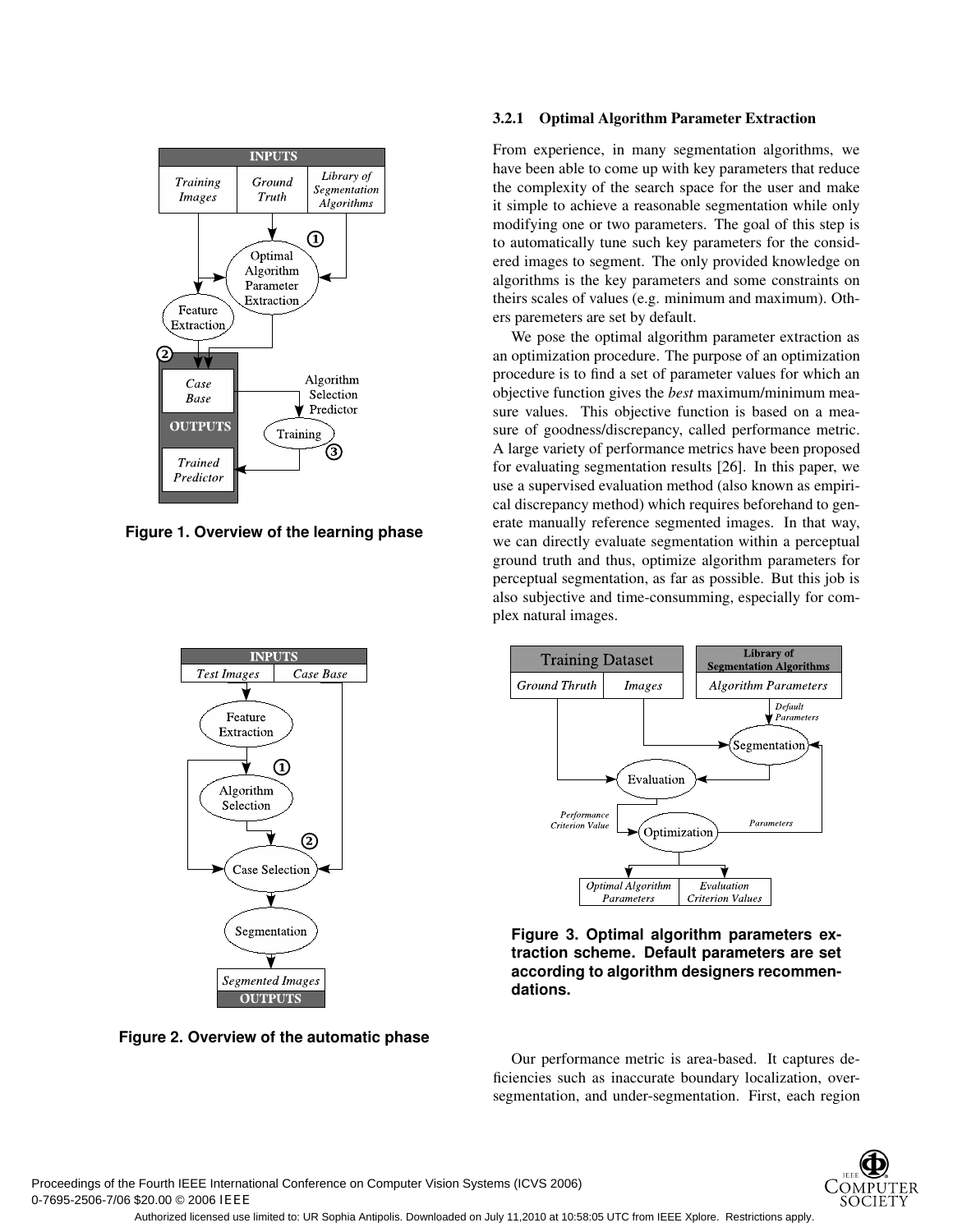

**Figure 1. Overview of the learning phase**



**Figure 2. Overview of the automatic phase**

## **3.2.1 Optimal Algorithm Parameter Extraction**

From experience, in many segmentation algorithms, we have been able to come up with key parameters that reduce the complexity of the search space for the user and make it simple to achieve a reasonable segmentation while only modifying one or two parameters. The goal of this step is to automatically tune such key parameters for the considered images to segment. The only provided knowledge on algorithms is the key parameters and some constraints on theirs scales of values (e.g. minimum and maximum). Others paremeters are set by default.

We pose the optimal algorithm parameter extraction as an optimization procedure. The purpose of an optimization procedure is to find a set of parameter values for which an objective function gives the *best* maximum/minimum measure values. This objective function is based on a measure of goodness/discrepancy, called performance metric. A large variety of performance metrics have been proposed for evaluating segmentation results [26]. In this paper, we use a supervised evaluation method (also known as empirical discrepancy method) which requires beforehand to generate manually reference segmented images. In that way, we can directly evaluate segmentation within a perceptual ground truth and thus, optimize algorithm parameters for perceptual segmentation, as far as possible. But this job is also subjective and time-consumming, especially for complex natural images.



**Figure 3. Optimal algorithm parameters extraction scheme. Default parameters are set according to algorithm designers recommendations.**

Our performance metric is area-based. It captures deficiencies such as inaccurate boundary localization, oversegmentation, and under-segmentation. First, each region

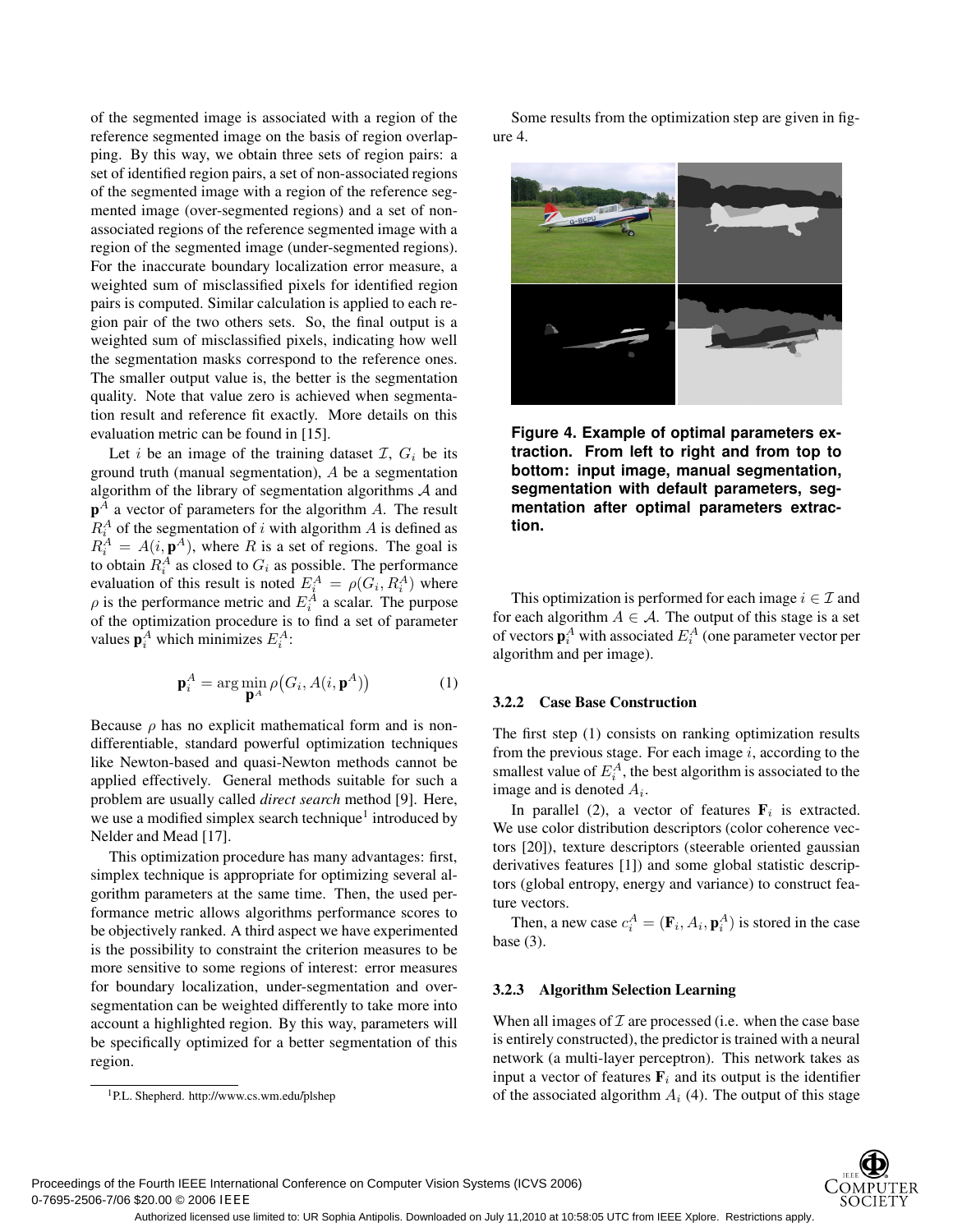of the segmented image is associated with a region of the reference segmented image on the basis of region overlapping. By this way, we obtain three sets of region pairs: a set of identified region pairs, a set of non-associated regions of the segmented image with a region of the reference segmented image (over-segmented regions) and a set of nonassociated regions of the reference segmented image with a region of the segmented image (under-segmented regions). For the inaccurate boundary localization error measure, a weighted sum of misclassified pixels for identified region pairs is computed. Similar calculation is applied to each region pair of the two others sets. So, the final output is a weighted sum of misclassified pixels, indicating how well the segmentation masks correspond to the reference ones. The smaller output value is, the better is the segmentation quality. Note that value zero is achieved when segmentation result and reference fit exactly. More details on this evaluation metric can be found in [15].

Let i be an image of the training dataset  $\mathcal{I}, G_i$  be its ground truth (manual segmentation), A be a segmentation algorithm of the library of segmentation algorithms  $A$  and  $p^A$  a vector of parameters for the algorithm A. The result  $R_i^A$  of the segmentation of i with algorithm A is defined as  $R_1^A = A(i, \mathbf{p}^A)$ , where R is a set of regions. The goal is<br>to obtain  $R_A^A$  as closed to G, as possible. The performance to obtain  $R_i^{\overline{A}}$  as closed to  $G_i$  as possible. The performance evaluation of this result is noted  $E_i^A = \rho(G_i, R_i^A)$  where  $\rho$  is the performance metric and  $E_i^{\hat{A}}$  a scalar. The purpose of the optimization procedure is to find a set of parameter values  $\mathbf{p}_i^A$  which minimizes  $E_i^A$ :

$$
\mathbf{p}_i^A = \arg\min_{\mathbf{p}^A} \rho(G_i, A(i, \mathbf{p}^A))
$$
 (1)

Because  $\rho$  has no explicit mathematical form and is nondifferentiable, standard powerful optimization techniques like Newton-based and quasi-Newton methods cannot be applied effectively. General methods suitable for such a problem are usually called *direct search* method [9]. Here, we use a modified simplex search technique<sup>1</sup> introduced by Nelder and Mead [17].

This optimization procedure has many advantages: first, simplex technique is appropriate for optimizing several algorithm parameters at the same time. Then, the used performance metric allows algorithms performance scores to be objectively ranked. A third aspect we have experimented is the possibility to constraint the criterion measures to be more sensitive to some regions of interest: error measures for boundary localization, under-segmentation and oversegmentation can be weighted differently to take more into account a highlighted region. By this way, parameters will be specifically optimized for a better segmentation of this region.

Some results from the optimization step are given in figure 4.



**Figure 4. Example of optimal parameters extraction. From left to right and from top to bottom: input image, manual segmentation, segmentation with default parameters, segmentation after optimal parameters extraction.**

This optimization is performed for each image  $i \in \mathcal{I}$  and for each algorithm  $A \in \mathcal{A}$ . The output of this stage is a set of vectors  $\mathbf{p}_i^A$  with associated  $E_i^A$  (one parameter vector per<br>algorithm and per image) algorithm and per image).

# **3.2.2 Case Base Construction**

The first step (1) consists on ranking optimization results from the previous stage. For each image  $i$ , according to the smallest value of  $E_i^A$ , the best algorithm is associated to the image and is denoted  $A_i$ .

In parallel (2), a vector of features  $\mathbf{F}_i$  is extracted. We use color distribution descriptors (color coherence vectors [20]), texture descriptors (steerable oriented gaussian derivatives features [1]) and some global statistic descriptors (global entropy, energy and variance) to construct feature vectors.

Then, a new case  $c_i^A = (\mathbf{F}_i, A_i, \mathbf{p}_i^A)$  is stored in the case base (3).

### **3.2.3 Algorithm Selection Learning**

When all images of  $\mathcal I$  are processed (i.e. when the case base is entirely constructed), the predictor is trained with a neural network (a multi-layer perceptron). This network takes as input a vector of features  $\mathbf{F}_i$  and its output is the identifier of the associated algorithm  $A_i$  (4). The output of this stage



<sup>&</sup>lt;sup>1</sup>P.L. Shepherd. http://www.cs.wm.edu/plshep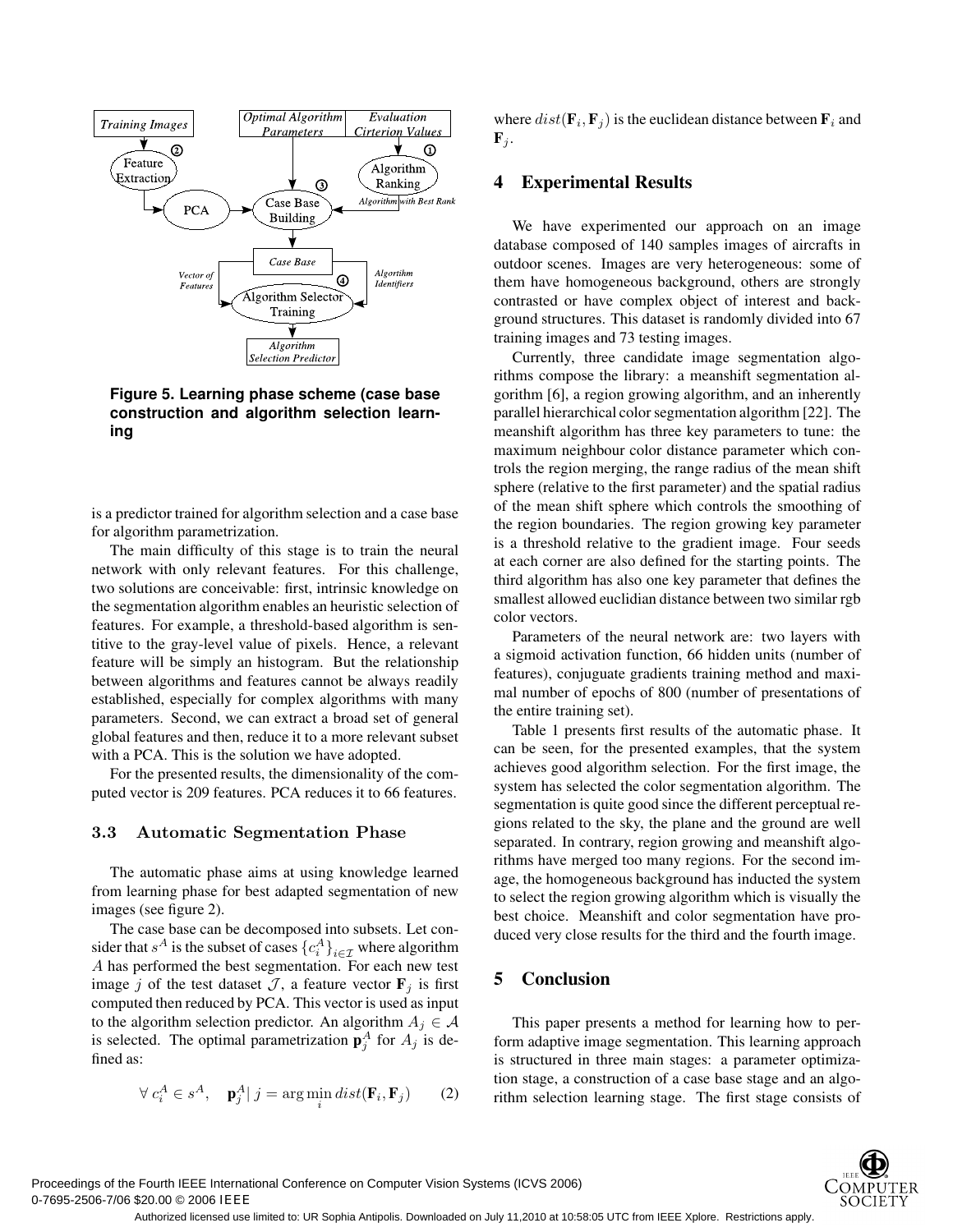

**Figure 5. Learning phase scheme (case base construction and algorithm selection learning**

is a predictor trained for algorithm selection and a case base for algorithm parametrization.

The main difficulty of this stage is to train the neural network with only relevant features. For this challenge, two solutions are conceivable: first, intrinsic knowledge on the segmentation algorithm enables an heuristic selection of features. For example, a threshold-based algorithm is sentitive to the gray-level value of pixels. Hence, a relevant feature will be simply an histogram. But the relationship between algorithms and features cannot be always readily established, especially for complex algorithms with many parameters. Second, we can extract a broad set of general global features and then, reduce it to a more relevant subset with a PCA. This is the solution we have adopted.

For the presented results, the dimensionality of the computed vector is 209 features. PCA reduces it to 66 features.

#### 3.3 **3.3 Automatic Segmentation Phase**

The automatic phase aims at using knowledge learned from learning phase for best adapted segmentation of new images (see figure 2).

The case base can be decomposed into subsets. Let consider that  $s^A$  is the subset of cases  $\{c_i^A\}_{i\in\mathcal{I}}$  where algorithm A has performed the best segmentation. For each new test image j of the test dataset  $\mathcal{J}$ , a feature vector  $\mathbf{F}_i$  is first computed then reduced by PCA. This vector is used as input to the algorithm selection predictor. An algorithm  $A_i \in \mathcal{A}$ is selected. The optimal parametrization  $\mathbf{p}_{j}^{A}$  for  $A_{j}$  is defined as: fined as:

$$
\forall c_i^A \in s^A, \quad \mathbf{p}_j^A \,|\, j = \arg\min_i dist(\mathbf{F}_i, \mathbf{F}_j) \tag{2}
$$

where  $dist(\mathbf{F}_i, \mathbf{F}_j)$  is the euclidean distance between  $\mathbf{F}_i$  and  $\mathbf{F}_i$ .

# **4 Experimental Results**

We have experimented our approach on an image database composed of 140 samples images of aircrafts in outdoor scenes. Images are very heterogeneous: some of them have homogeneous background, others are strongly contrasted or have complex object of interest and background structures. This dataset is randomly divided into 67 training images and 73 testing images.

Currently, three candidate image segmentation algorithms compose the library: a meanshift segmentation algorithm [6], a region growing algorithm, and an inherently parallel hierarchical color segmentation algorithm [22]. The meanshift algorithm has three key parameters to tune: the maximum neighbour color distance parameter which controls the region merging, the range radius of the mean shift sphere (relative to the first parameter) and the spatial radius of the mean shift sphere which controls the smoothing of the region boundaries. The region growing key parameter is a threshold relative to the gradient image. Four seeds at each corner are also defined for the starting points. The third algorithm has also one key parameter that defines the smallest allowed euclidian distance between two similar rgb color vectors.

Parameters of the neural network are: two layers with a sigmoid activation function, 66 hidden units (number of features), conjuguate gradients training method and maximal number of epochs of 800 (number of presentations of the entire training set).

Table 1 presents first results of the automatic phase. It can be seen, for the presented examples, that the system achieves good algorithm selection. For the first image, the system has selected the color segmentation algorithm. The segmentation is quite good since the different perceptual regions related to the sky, the plane and the ground are well separated. In contrary, region growing and meanshift algorithms have merged too many regions. For the second image, the homogeneous background has inducted the system to select the region growing algorithm which is visually the best choice. Meanshift and color segmentation have produced very close results for the third and the fourth image.

## **5 Conclusion**

This paper presents a method for learning how to perform adaptive image segmentation. This learning approach is structured in three main stages: a parameter optimization stage, a construction of a case base stage and an algorithm selection learning stage. The first stage consists of



Authorized licensed use limited to: UR Sophia Antipolis. Downloaded on July 11,2010 at 10:58:05 UTC from IEEE Xplore. Restrictions apply.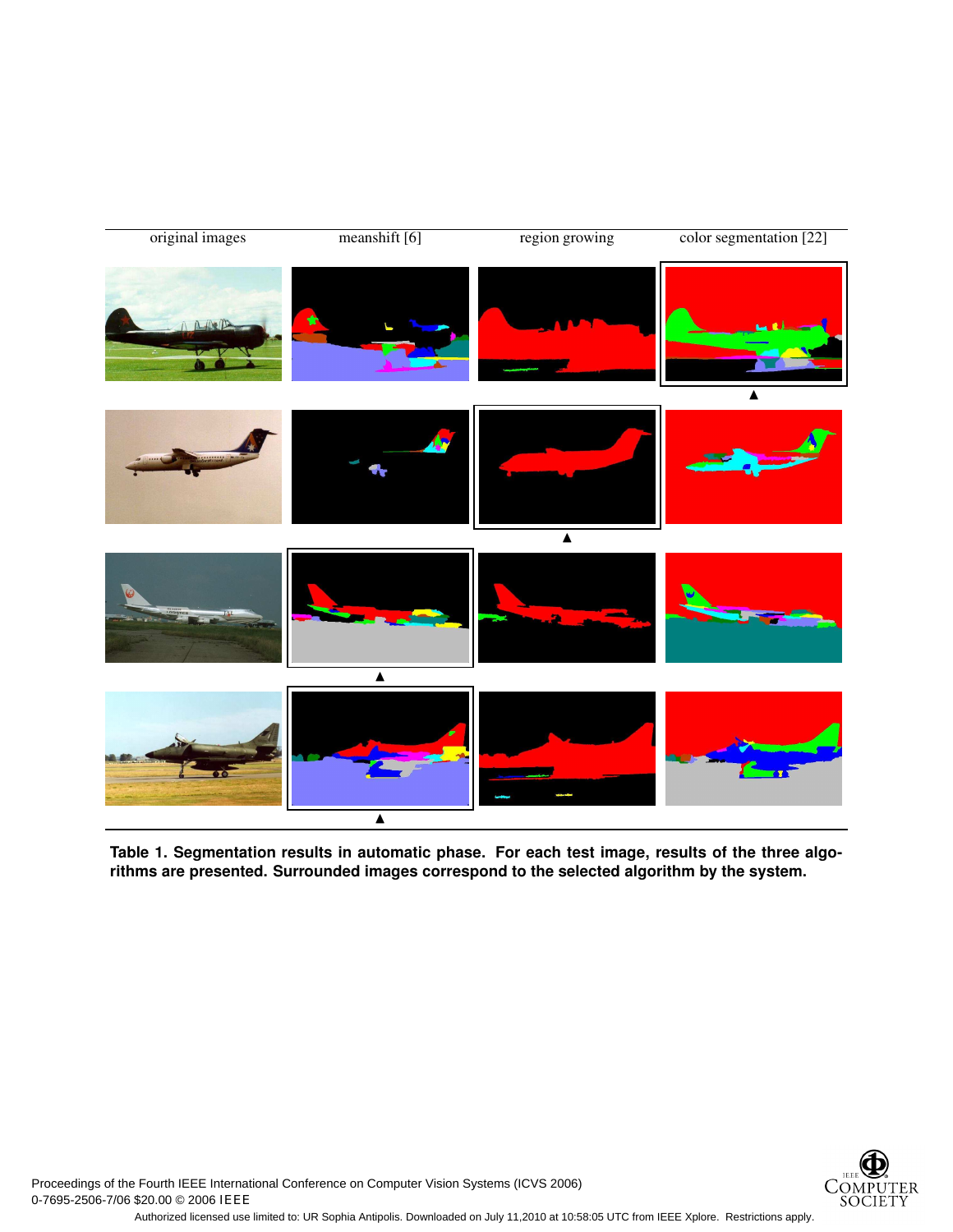

**Table 1. Segmentation results in automatic phase. For each test image, results of the three algorithms are presented. Surrounded images correspond to the selected algorithm by the system.**



Authorized licensed use limited to: UR Sophia Antipolis. Downloaded on July 11,2010 at 10:58:05 UTC from IEEE Xplore. Restrictions apply.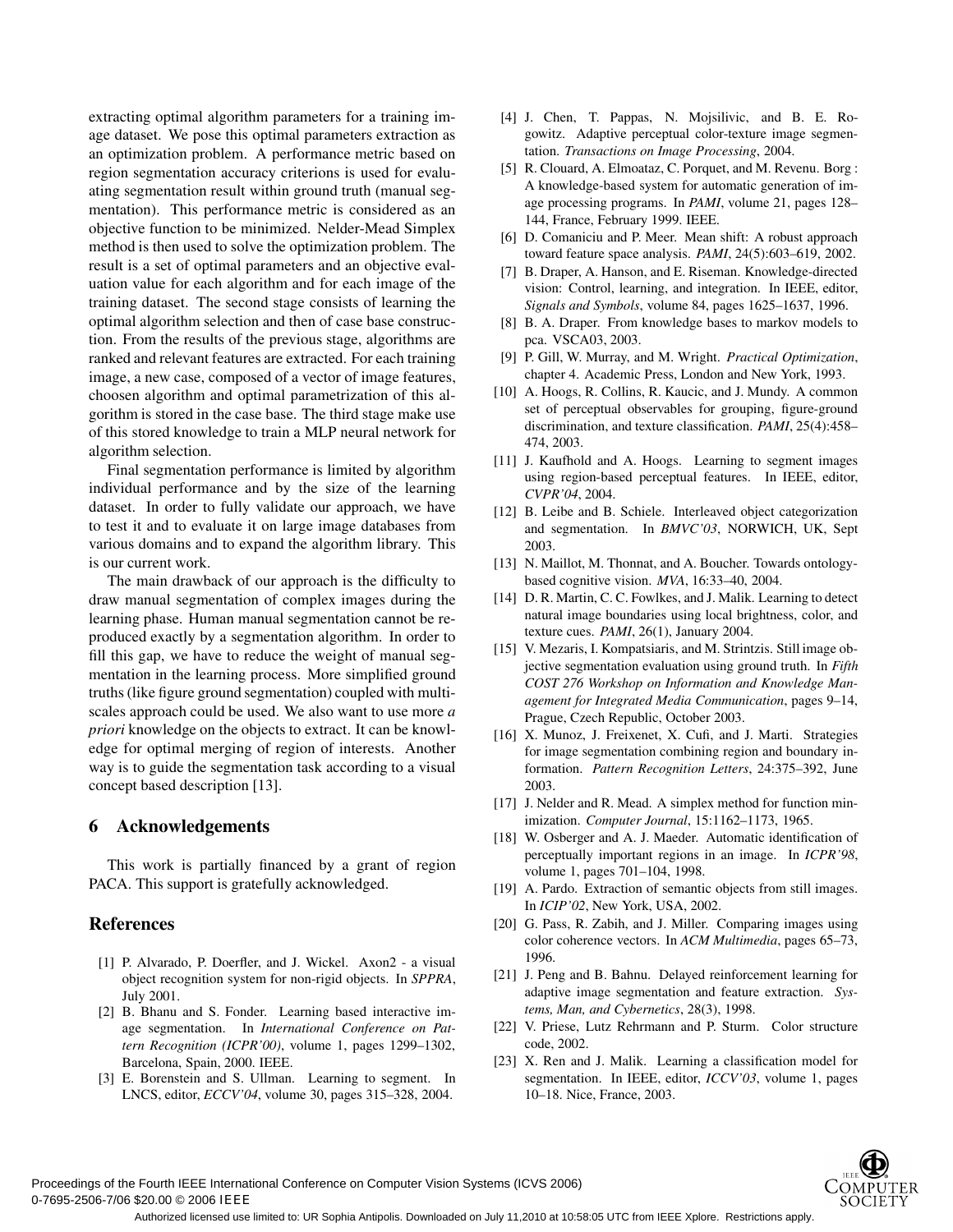extracting optimal algorithm parameters for a training image dataset. We pose this optimal parameters extraction as an optimization problem. A performance metric based on region segmentation accuracy criterions is used for evaluating segmentation result within ground truth (manual segmentation). This performance metric is considered as an objective function to be minimized. Nelder-Mead Simplex method is then used to solve the optimization problem. The result is a set of optimal parameters and an objective evaluation value for each algorithm and for each image of the training dataset. The second stage consists of learning the optimal algorithm selection and then of case base construction. From the results of the previous stage, algorithms are ranked and relevant features are extracted. For each training image, a new case, composed of a vector of image features, choosen algorithm and optimal parametrization of this algorithm is stored in the case base. The third stage make use of this stored knowledge to train a MLP neural network for algorithm selection.

Final segmentation performance is limited by algorithm individual performance and by the size of the learning dataset. In order to fully validate our approach, we have to test it and to evaluate it on large image databases from various domains and to expand the algorithm library. This is our current work.

The main drawback of our approach is the difficulty to draw manual segmentation of complex images during the learning phase. Human manual segmentation cannot be reproduced exactly by a segmentation algorithm. In order to fill this gap, we have to reduce the weight of manual segmentation in the learning process. More simplified ground truths (like figure ground segmentation) coupled with multiscales approach could be used. We also want to use more *a priori* knowledge on the objects to extract. It can be knowledge for optimal merging of region of interests. Another way is to guide the segmentation task according to a visual concept based description [13].

# **6 Acknowledgements**

This work is partially financed by a grant of region PACA. This support is gratefully acknowledged.

### **References**

- [1] P. Alvarado, P. Doerfler, and J. Wickel. Axon2 a visual object recognition system for non-rigid objects. In *SPPRA*, July 2001.
- [2] B. Bhanu and S. Fonder. Learning based interactive image segmentation. In *International Conference on Pattern Recognition (ICPR'00)*, volume 1, pages 1299–1302, Barcelona, Spain, 2000. IEEE.
- [3] E. Borenstein and S. Ullman. Learning to segment. In LNCS, editor, *ECCV'04*, volume 30, pages 315–328, 2004.
- [4] J. Chen, T. Pappas, N. Mojsilivic, and B. E. Rogowitz. Adaptive perceptual color-texture image segmentation. *Transactions on Image Processing*, 2004.
- [5] R. Clouard, A. Elmoataz, C. Porquet, and M. Revenu. Borg : A knowledge-based system for automatic generation of image processing programs. In *PAMI*, volume 21, pages 128– 144, France, February 1999. IEEE.
- [6] D. Comaniciu and P. Meer. Mean shift: A robust approach toward feature space analysis. *PAMI*, 24(5):603–619, 2002.
- [7] B. Draper, A. Hanson, and E. Riseman. Knowledge-directed vision: Control, learning, and integration. In IEEE, editor, *Signals and Symbols*, volume 84, pages 1625–1637, 1996.
- [8] B. A. Draper. From knowledge bases to markov models to pca. VSCA03, 2003.
- [9] P. Gill, W. Murray, and M. Wright. *Practical Optimization*, chapter 4. Academic Press, London and New York, 1993.
- [10] A. Hoogs, R. Collins, R. Kaucic, and J. Mundy. A common set of perceptual observables for grouping, figure-ground discrimination, and texture classification. *PAMI*, 25(4):458– 474, 2003.
- [11] J. Kaufhold and A. Hoogs. Learning to segment images using region-based perceptual features. In IEEE, editor, *CVPR'04*, 2004.
- [12] B. Leibe and B. Schiele. Interleaved object categorization and segmentation. In *BMVC'03*, NORWICH, UK, Sept 2003.
- [13] N. Maillot, M. Thonnat, and A. Boucher. Towards ontologybased cognitive vision. *MVA*, 16:33–40, 2004.
- [14] D. R. Martin, C. C. Fowlkes, and J. Malik. Learning to detect natural image boundaries using local brightness, color, and texture cues. *PAMI*, 26(1), January 2004.
- [15] V. Mezaris, I. Kompatsiaris, and M. Strintzis. Still image objective segmentation evaluation using ground truth. In *Fifth COST 276 Workshop on Information and Knowledge Management for Integrated Media Communication*, pages 9–14, Prague, Czech Republic, October 2003.
- [16] X. Munoz, J. Freixenet, X. Cufi, and J. Marti. Strategies for image segmentation combining region and boundary information. *Pattern Recognition Letters*, 24:375–392, June 2003.
- [17] J. Nelder and R. Mead. A simplex method for function minimization. *Computer Journal*, 15:1162–1173, 1965.
- [18] W. Osberger and A. J. Maeder. Automatic identification of perceptually important regions in an image. In *ICPR'98*, volume 1, pages 701–104, 1998.
- [19] A. Pardo. Extraction of semantic objects from still images. In *ICIP'02*, New York, USA, 2002.
- [20] G. Pass, R. Zabih, and J. Miller. Comparing images using color coherence vectors. In *ACM Multimedia*, pages 65–73, 1996.
- [21] J. Peng and B. Bahnu. Delayed reinforcement learning for adaptive image segmentation and feature extraction. *Systems, Man, and Cybernetics*, 28(3), 1998.
- [22] V. Priese, Lutz Rehrmann and P. Sturm. Color structure code, 2002.
- [23] X. Ren and J. Malik. Learning a classification model for segmentation. In IEEE, editor, *ICCV'03*, volume 1, pages 10–18. Nice, France, 2003.